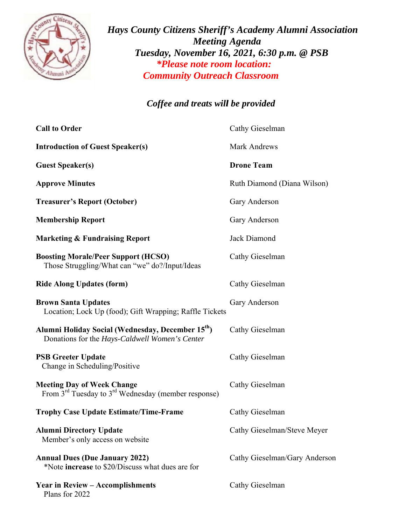

*Hays County Citizens Sheriff's Academy Alumni Association Tues Community Outreach Classroom sday, Nov vember 16 6, 2021, 6: :30 p.m. @ @ PSB \*Please note room location: Meeting Agenda*

## *Coffee and treats will be provided*

| <b>Call to Order</b>                                                                                             | Cathy Gieselman               |
|------------------------------------------------------------------------------------------------------------------|-------------------------------|
| <b>Introduction of Guest Speaker(s)</b>                                                                          | Mark Andrews                  |
| <b>Guest Speaker(s)</b>                                                                                          | <b>Drone Team</b>             |
| <b>Approve Minutes</b>                                                                                           | Ruth Diamond (Diana Wilson)   |
| <b>Treasurer's Report (October)</b>                                                                              | Gary Anderson                 |
| <b>Membership Report</b>                                                                                         | Gary Anderson                 |
| <b>Marketing &amp; Fundraising Report</b>                                                                        | Jack Diamond                  |
| <b>Boosting Morale/Peer Support (HCSO)</b><br>Those Struggling/What can "we" do?/Input/Ideas                     | Cathy Gieselman               |
| <b>Ride Along Updates (form)</b>                                                                                 | Cathy Gieselman               |
| <b>Brown Santa Updates</b><br>Location; Lock Up (food); Gift Wrapping; Raffle Tickets                            | Gary Anderson                 |
| Alumni Holiday Social (Wednesday, December 15 <sup>th</sup> )<br>Donations for the Hays-Caldwell Women's Center  | Cathy Gieselman               |
| <b>PSB Greeter Update</b><br>Change in Scheduling/Positive                                                       | Cathy Gieselman               |
| <b>Meeting Day of Week Change</b><br>From 3 <sup>rd</sup> Tuesday to 3 <sup>rd</sup> Wednesday (member response) | Cathy Gieselman               |
| <b>Trophy Case Update Estimate/Time-Frame</b>                                                                    | Cathy Gieselman               |
| <b>Alumni Directory Update</b><br>Member's only access on website                                                | Cathy Gieselman/Steve Meyer   |
| <b>Annual Dues (Due January 2022)</b><br>*Note <b>increase</b> to \$20/Discuss what dues are for                 | Cathy Gieselman/Gary Anderson |
| <b>Year in Review – Accomplishments</b><br>Plans for 2022                                                        | Cathy Gieselman               |